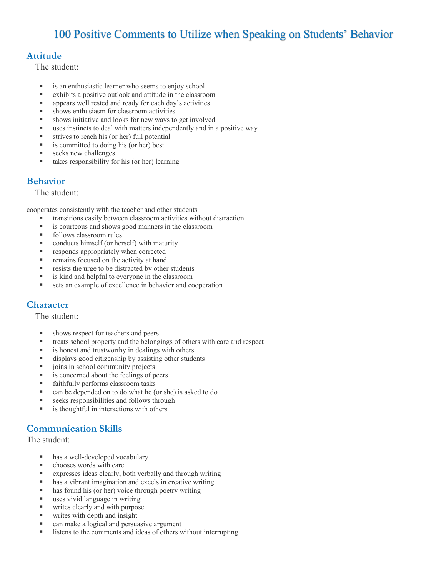# 100 Positive Comments to Utilize when Speaking on Students' Behavior

#### **Attitude**

The student:

- is an enthusiastic learner who seems to enjoy school
- exhibits a positive outlook and attitude in the classroom
- appears well rested and ready for each day's activities
- shows enthusiasm for classroom activities
- § shows initiative and looks for new ways to get involved
- uses instincts to deal with matters independently and in a positive way
- strives to reach his (or her) full potential
- is committed to doing his (or her) best
- § seeks new challenges
- takes responsibility for his (or her) learning

#### **Behavior**

The student:

cooperates consistently with the teacher and other students

- transitions easily between classroom activities without distraction
- is courteous and shows good manners in the classroom
- follows classroom rules
- § conducts himself (or herself) with maturity
- responds appropriately when corrected
- remains focused on the activity at hand
- resists the urge to be distracted by other students
- is kind and helpful to everyone in the classroom
- sets an example of excellence in behavior and cooperation

#### **Character**

The student:

- § shows respect for teachers and peers
- treats school property and the belongings of others with care and respect
- is honest and trustworthy in dealings with others
- displays good citizenship by assisting other students
- joins in school community projects
- is concerned about the feelings of peers
- **•** faithfully performs classroom tasks
- can be depended on to do what he (or she) is asked to do
- seeks responsibilities and follows through
- **•** is thoughtful in interactions with others

#### **Communication Skills**

The student:

- has a well-developed vocabulary
- chooses words with care
- expresses ideas clearly, both verbally and through writing
- has a vibrant imagination and excels in creative writing
- has found his (or her) voice through poetry writing
- uses vivid language in writing
- writes clearly and with purpose
- writes with depth and insight
- can make a logical and persuasive argument
- listens to the comments and ideas of others without interrupting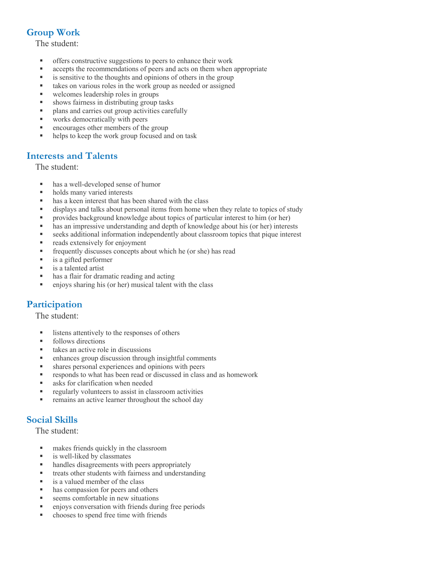## **Group Work**

The student:

- § offers constructive suggestions to peers to enhance their work
- accepts the recommendations of peers and acts on them when appropriate
- is sensitive to the thoughts and opinions of others in the group
- takes on various roles in the work group as needed or assigned
- welcomes leadership roles in groups
- § shows fairness in distributing group tasks
- plans and carries out group activities carefully
- works democratically with peers
- encourages other members of the group
- helps to keep the work group focused and on task

#### **Interests and Talents**

The student:

- has a well-developed sense of humor
- holds many varied interests
- has a keen interest that has been shared with the class
- displays and talks about personal items from home when they relate to topics of study
- § provides background knowledge about topics of particular interest to him (or her)
- has an impressive understanding and depth of knowledge about his (or her) interests
- seeks additional information independently about classroom topics that pique interest
- reads extensively for enjoyment
- frequently discusses concepts about which he (or she) has read
- is a gifted performer
- is a talented artist
- has a flair for dramatic reading and acting
- enjoys sharing his (or her) musical talent with the class

## **Participation**

The student:

- listens attentively to the responses of others
- follows directions
- takes an active role in discussions
- enhances group discussion through insightful comments
- § shares personal experiences and opinions with peers
- responds to what has been read or discussed in class and as homework
- asks for clarification when needed
- regularly volunteers to assist in classroom activities
- **•** remains an active learner throughout the school day

## **Social Skills**

The student:

- makes friends quickly in the classroom
- is well-liked by classmates
- handles disagreements with peers appropriately
- treats other students with fairness and understanding
- is a valued member of the class
- has compassion for peers and others
- seems comfortable in new situations
- § enjoys conversation with friends during free periods
- chooses to spend free time with friends